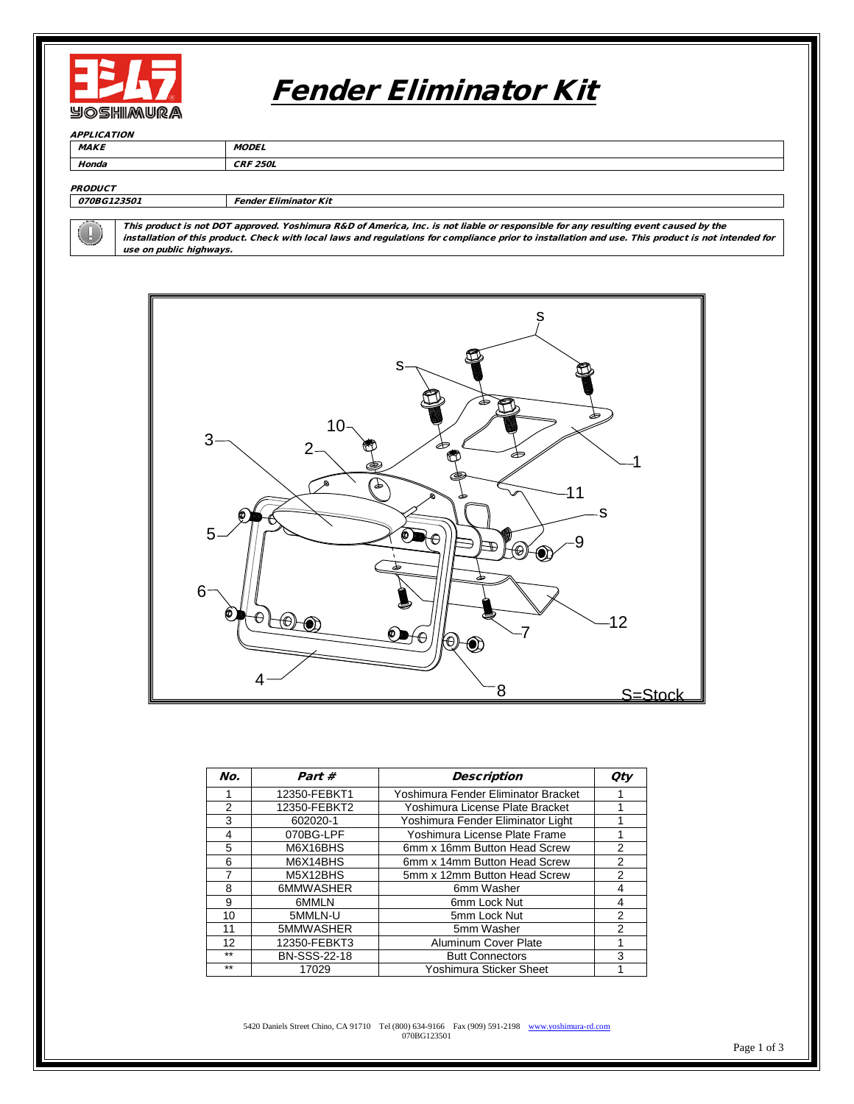

## Fender Eliminator Kit

**APPLICATION** 

MAKE MODEL

Honda CRF 250L

**PRODUCT** 

070BG123501 Fender Eliminator Kit

This product is not DOT approved. Yoshimura R&D of America, Inc. is not liable or responsible for any resulting event caused by the installation of this product. Check with local laws and regulations for compliance prior to installation and use. This product is not intended for use on public highways.



| No.  | Part #              | <b>Description</b>                  | <b>Qty</b>     |
|------|---------------------|-------------------------------------|----------------|
|      | 12350-FEBKT1        | Yoshimura Fender Eliminator Bracket |                |
| 2    | 12350-FEBKT2        | Yoshimura License Plate Bracket     |                |
| 3    | 602020-1            | Yoshimura Fender Eliminator Light   |                |
| 4    | 070BG-LPF           | Yoshimura License Plate Frame       |                |
| 5    | M6X16BHS            | 6mm x 16mm Button Head Screw        | 2              |
| 6    | M6X14BHS            | 6mm x 14mm Button Head Screw        | 2              |
| 7    | M5X12BHS            | 5mm x 12mm Button Head Screw        | 2              |
| 8    | 6MMWASHER           | 6mm Washer                          | 4              |
| 9    | 6MMLN               | 6mm Lock Nut                        | 4              |
| 10   | 5MMLN-U             | 5mm Lock Nut                        | $\overline{2}$ |
| 11   | 5MMWASHER           | 5mm Washer                          | 2              |
| 12   | 12350-FEBKT3        | Aluminum Cover Plate                |                |
| $*$  | <b>BN-SSS-22-18</b> | <b>Butt Connectors</b>              | 3              |
| $**$ | 17029               | Yoshimura Sticker Sheet             |                |

5420 Daniels Street Chino, CA 91710 Tel (800) 634-9166 Fax (909) 591-2198 [www.yoshimura-rd.com](http://www.yoshimura-rd.com/)<br>
070BG123501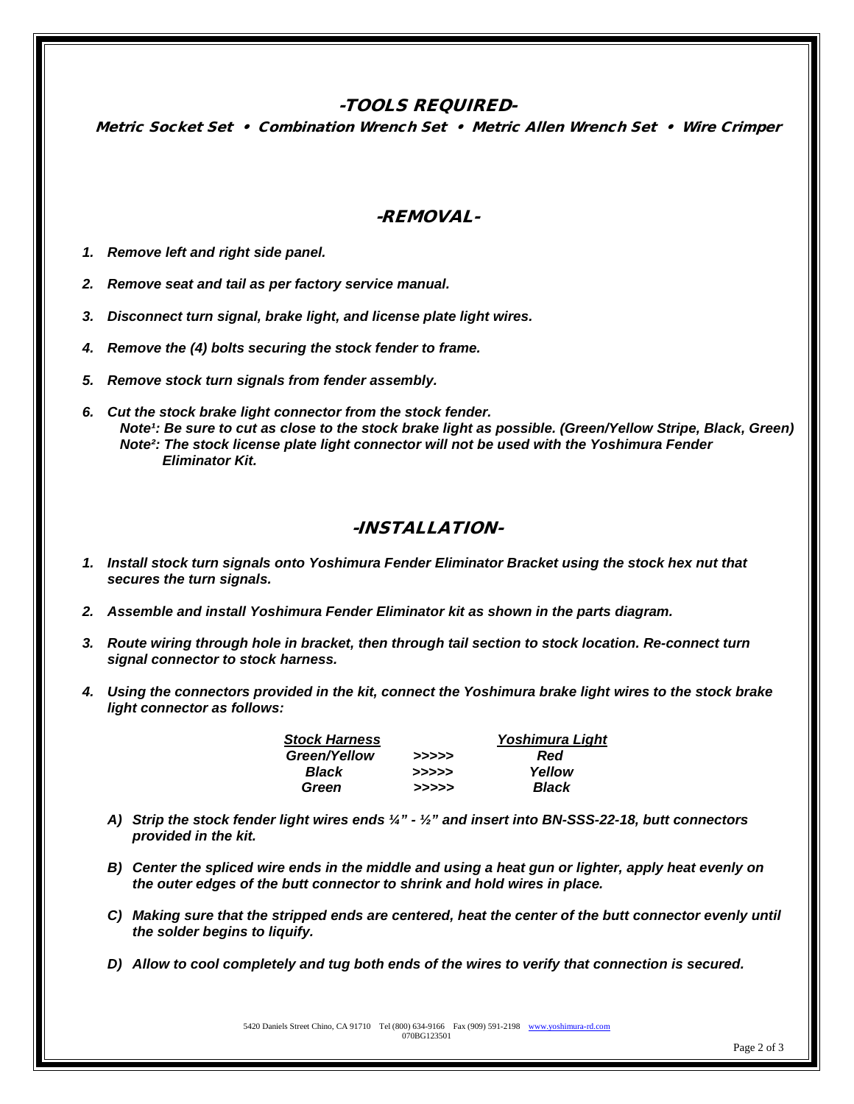## -TOOLS REQUIRED-

Metric Socket Set • Combination Wrench Set • Metric Allen Wrench Set • Wire Crimper

## -REMOVAL-

- *1. Remove left and right side panel.*
- *2. Remove seat and tail as per factory service manual.*
- *3. Disconnect turn signal, brake light, and license plate light wires.*
- *4. Remove the (4) bolts securing the stock fender to frame.*
- *5. Remove stock turn signals from fender assembly.*
- *6. Cut the stock brake light connector from the stock fender. Note<sup>1</sup>: Be sure to cut as close to the stock brake light as possible. (Green/Yellow Stripe, Black, Green) Note²: The stock license plate light connector will not be used with the Yoshimura Fender Eliminator Kit.*

## -INSTALLATION-

- *1. Install stock turn signals onto Yoshimura Fender Eliminator Bracket using the stock hex nut that secures the turn signals.*
- *2. Assemble and install Yoshimura Fender Eliminator kit as shown in the parts diagram.*
- *3. Route wiring through hole in bracket, then through tail section to stock location. Re-connect turn signal connector to stock harness.*
- *4. Using the connectors provided in the kit, connect the Yoshimura brake light wires to the stock brake light connector as follows:*

| <b>Stock Harness</b> | <b>Yoshimura Light</b> |        |
|----------------------|------------------------|--------|
| Green/Yellow         | >>>>>                  | Red    |
| Black                | >>>>>                  | Yellow |
| Green                | >>>>>                  | Black  |

- *A) Strip the stock fender light wires ends ¼" - ½" and insert into BN-SSS-22-18, butt connectors provided in the kit.*
- *B) Center the spliced wire ends in the middle and using a heat gun or lighter, apply heat evenly on the outer edges of the butt connector to shrink and hold wires in place.*
- *C) Making sure that the stripped ends are centered, heat the center of the butt connector evenly until the solder begins to liquify.*
- *D) Allow to cool completely and tug both ends of the wires to verify that connection is secured.*

5420 Daniels Street Chino, CA 91710 Tel (800) 634-9166 Fax (909) 591-2198 www.yoshimu 070BG123501